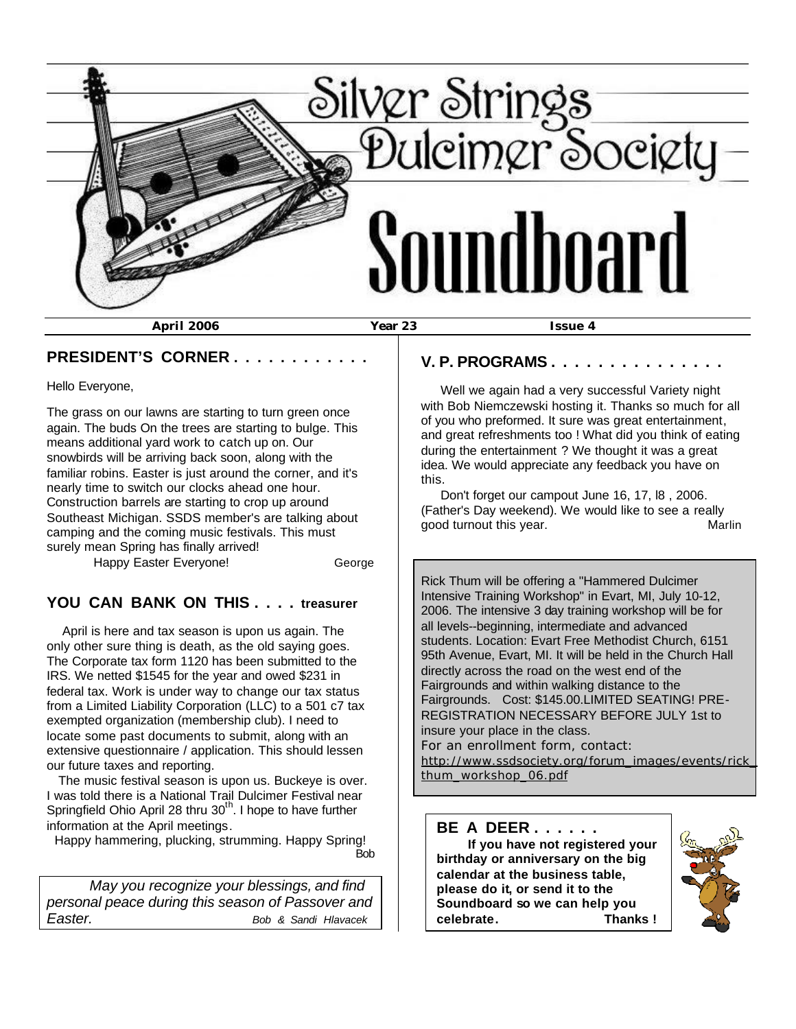

#### **PRESIDENT'S CORNER . . . . . . . . . . . .**

Hello Everyone,

The grass on our lawns are starting to turn green once again. The buds On the trees are starting to bulge. This means additional yard work to catch up on. Our snowbirds will be arriving back soon, along with the familiar robins. Easter is just around the corner, and it's nearly time to switch our clocks ahead one hour. Construction barrels are starting to crop up around Southeast Michigan. SSDS member's are talking about camping and the coming music festivals. This must surely mean Spring has finally arrived!

Happy Easter Everyone! George

#### **YOU CAN BANK ON THIS . . . . treasurer**

 April is here and tax season is upon us again. The only other sure thing is death, as the old saying goes. The Corporate tax form 1120 has been submitted to the IRS. We netted \$1545 for the year and owed \$231 in federal tax. Work is under way to change our tax status from a Limited Liability Corporation (LLC) to a 501 c7 tax exempted organization (membership club). I need to locate some past documents to submit, along with an extensive questionnaire / application. This should lessen our future taxes and reporting.

 The music festival season is upon us. Buckeye is over. I was told there is a National Trail Dulcimer Festival near Springfield Ohio April 28 thru 30<sup>th</sup>. I hope to have further information at the April meetings.

 Happy hammering, plucking, strumming. Happy Spring! <u>Bob</u>

 *May you recognize your blessings, and find personal peace during this season of Passover and Easter. Bob & Sandi Hlavacek*

#### **V. P. PROGRAMS . . . . . . . . . . . . . . .**

 Well we again had a very successful Variety night with Bob Niemczewski hosting it. Thanks so much for all of you who preformed. It sure was great entertainment, and great refreshments too ! What did you think of eating during the entertainment ? We thought it was a great idea. We would appreciate any feedback you have on this.

 Don't forget our campout June 16, 17, l8 , 2006. (Father's Day weekend). We would like to see a really abod turnout this year. The state of the Marlin

Rick Thum will be offering a "Hammered Dulcimer Intensive Training Workshop" in Evart, MI, July 10-12, 2006. The intensive 3 day training workshop will be for all levels--beginning, intermediate and advanced students. Location: Evart Free Methodist Church, 6151 95th Avenue, Evart, MI. It will be held in the Church Hall directly across the road on the west end of the Fairgrounds and within walking distance to the Fairgrounds. Cost: \$145.00.LIMITED SEATING! PRE-REGISTRATION NECESSARY BEFORE JULY 1st to insure your place in the class. For an enrollment form, contact:

http://www.ssdsociety.org/forum\_images/events/rick\_ thum\_workshop\_06.pdf

**BE A DEER . . . . . . If you have not registered your birthday or anniversary on the big calendar at the business table, please do it, or send it to the Soundboard so we can help you celebrate. Thanks !**

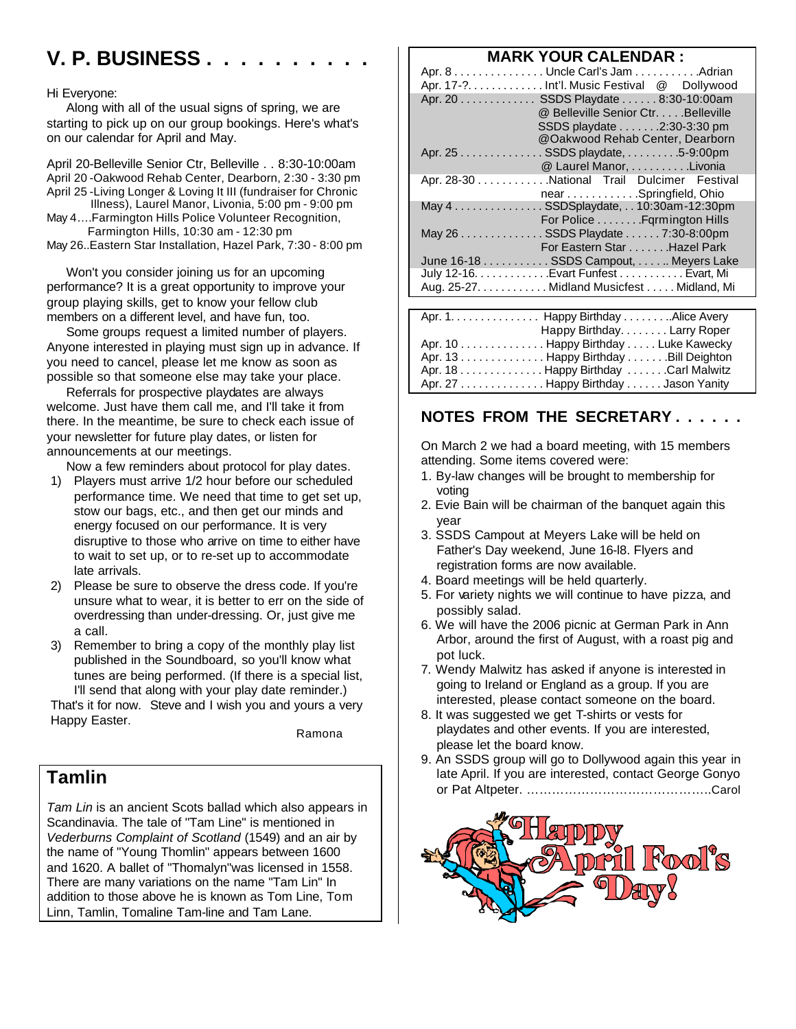# **V. P. BUSINESS . . . . . . . . . .**

#### Hi Everyone:

 Along with all of the usual signs of spring, we are starting to pick up on our group bookings. Here's what's on our calendar for April and May.

April 20-Belleville Senior Ctr, Belleville . . 8:30-10:00am April 20 -Oakwood Rehab Center, Dearborn, 2:30 - 3:30 pm April 25 -Living Longer & Loving It III (fundraiser for Chronic Illness), Laurel Manor, Livonia, 5:00 pm - 9:00 pm May 4….Farmington Hills Police Volunteer Recognition, Farmington Hills, 10:30 am - 12:30 pm

May 26..Eastern Star Installation, Hazel Park, 7:30 - 8:00 pm

 Won't you consider joining us for an upcoming performance? It is a great opportunity to improve your group playing skills, get to know your fellow club members on a different level, and have fun, too.

 Some groups request a limited number of players. Anyone interested in playing must sign up in advance. If you need to cancel, please let me know as soon as possible so that someone else may take your place.

 Referrals for prospective playdates are always welcome. Just have them call me, and I'll take it from there. In the meantime, be sure to check each issue of your newsletter for future play dates, or listen for announcements at our meetings.

Now a few reminders about protocol for play dates.

- 1) Players must arrive 1/2 hour before our scheduled performance time. We need that time to get set up, stow our bags, etc., and then get our minds and energy focused on our performance. It is very disruptive to those who arrive on time to either have to wait to set up, or to re-set up to accommodate late arrivals.
- 2) Please be sure to observe the dress code. If you're unsure what to wear, it is better to err on the side of overdressing than under-dressing. Or, just give me a call.
- 3) Remember to bring a copy of the monthly play list published in the Soundboard, so you'll know what tunes are being performed. (If there is a special list, I'll send that along with your play date reminder.)

That's it for now. Steve and I wish you and yours a very Happy Easter.

Ramona

# **Tamlin**

*Tam Lin* is an ancient Scots ballad which also appears in Scandinavia. The tale of "Tam Line" is mentioned in *Vederburns Complaint of Scotland* (1549) and an air by the name of "Young Thomlin" appears between 1600 and 1620. A ballet of "Thomalyn"was licensed in 1558. There are many variations on the name "Tam Lin" In addition to those above he is known as Tom Line, Tom Linn, Tamlin, Tomaline Tam-line and Tam Lane.

### **MARK YOUR CALENDAR :**

| Apr. 8 Uncle Carl's Jam Adrian<br>Apr. 17-? Int'l. Music Festival @ Dollywood |                                                                                                      |
|-------------------------------------------------------------------------------|------------------------------------------------------------------------------------------------------|
| Apr. 20 SSDS Playdate 8:30-10:00am                                            | @ Belleville Senior Ctr. Belleville<br>SSDS playdate 2:30-3:30 pm<br>@Oakwood Rehab Center, Dearborn |
| Apr. 25 SSDS playdate, 5-9:00pm                                               | @ Laurel Manor, Livonia                                                                              |
| Apr. 28-30 National Trail Dulcimer Festival                                   | near Springfield, Ohio                                                                               |
| May $4 \ldots \ldots \ldots \ldots$ . SSDSplaydate, 10:30am-12:30pm           | For Police Fqrmington Hills                                                                          |
| May 26 SSDS Playdate 7:30-8:00pm                                              | For Eastern Star Hazel Park                                                                          |
| June 16-18 SSDS Campout, Meyers Lake                                          |                                                                                                      |
| July 12-16. Evart Funfest Evart, Mi                                           |                                                                                                      |
| Aug. 25-27. Nidland Musicfest Midland, Mi                                     |                                                                                                      |
|                                                                               |                                                                                                      |

| Apr. 1. Happy Birthday Alice Avery   |                             |  |
|--------------------------------------|-----------------------------|--|
|                                      | Happy Birthday. Larry Roper |  |
| Apr. 10 Happy Birthday Luke Kawecky  |                             |  |
| Apr. 13 Happy Birthday Bill Deighton |                             |  |
| Apr. 18 Happy Birthday Carl Malwitz  |                             |  |
| Apr. 27 Happy Birthday Jason Yanity  |                             |  |

# **NOTES FROM THE SECRETARY . . . . . .**

On March 2 we had a board meeting, with 15 members attending. Some items covered were:

- 1. By-law changes will be brought to membership for voting
- 2. Evie Bain will be chairman of the banquet again this year
- 3. SSDS Campout at Meyers Lake will be held on Father's Day weekend, June 16-l8. Flyers and registration forms are now available.
- 4. Board meetings will be held quarterly.
- 5. For variety nights we will continue to have pizza, and possibly salad.
- 6. We will have the 2006 picnic at German Park in Ann Arbor, around the first of August, with a roast pig and pot luck.
- 7. Wendy Malwitz has asked if anyone is interested in going to Ireland or England as a group. If you are interested, please contact someone on the board.
- 8. It was suggested we get T-shirts or vests for playdates and other events. If you are interested, please let the board know.
- 9. An SSDS group will go to Dollywood again this year in late April. If you are interested, contact George Gonyo or Pat Altpeter. ……………………………………..Carol

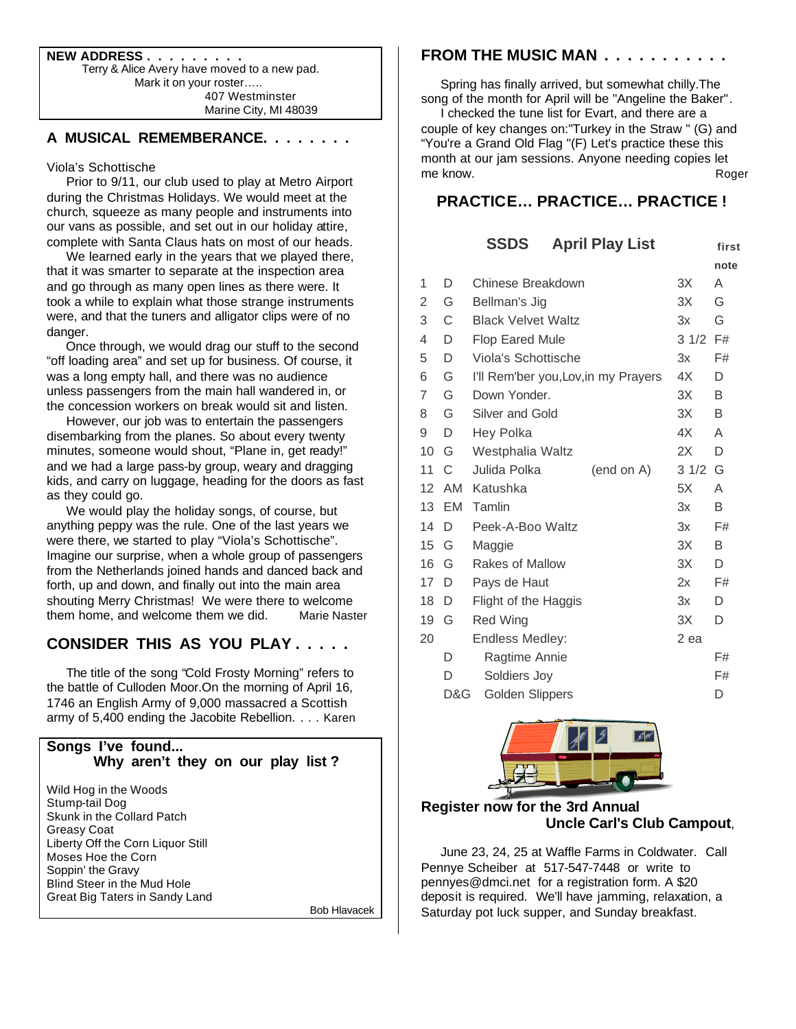**NEW ADDRESS . . . . . . . . .** Terry & Alice Avery have moved to a new pad. Mark it on your roster….. 407 Westminster Marine City, MI 48039

#### **A MUSICAL REMEMBERANCE. . . . . . . .**

#### Viola's Schottische

 Prior to 9/11, our club used to play at Metro Airport during the Christmas Holidays. We would meet at the church, squeeze as many people and instruments into our vans as possible, and set out in our holiday attire, complete with Santa Claus hats on most of our heads.

 We learned early in the years that we played there, that it was smarter to separate at the inspection area and go through as many open lines as there were. It took a while to explain what those strange instruments were, and that the tuners and alligator clips were of no danger.

 Once through, we would drag our stuff to the second "off loading area" and set up for business. Of course, it was a long empty hall, and there was no audience unless passengers from the main hall wandered in, or the concession workers on break would sit and listen.

 However, our job was to entertain the passengers disembarking from the planes. So about every twenty minutes, someone would shout, "Plane in, get ready!" and we had a large pass-by group, weary and dragging kids, and carry on luggage, heading for the doors as fast as they could go.

 We would play the holiday songs, of course, but anything peppy was the rule. One of the last years we were there, we started to play "Viola's Schottische". Imagine our surprise, when a whole group of passengers from the Netherlands joined hands and danced back and forth, up and down, and finally out into the main area shouting Merry Christmas! We were there to welcome them home, and welcome them we did. Marie Naster

# **CONSIDER THIS AS YOU PLAY . . . . .**

 The title of the song "Cold Frosty Morning" refers to the battle of Culloden Moor.On the morning of April 16, 1746 an English Army of 9,000 massacred a Scottish army of 5,400 ending the Jacobite Rebellion. . . . Karen

#### **Songs I've found... Why aren't they on our play list ?**

Wild Hog in the Woods Stump-tail Dog Skunk in the Collard Patch Greasy Coat Liberty Off the Corn Liquor Still Moses Hoe the Corn Soppin' the Gravy Blind Steer in the Mud Hole Great Big Taters in Sandy Land

Bob Hlavacek

#### **FROM THE MUSIC MAN . . . . . . . . . . .**

 Spring has finally arrived, but somewhat chilly.The song of the month for April will be "Angeline the Baker".

 I checked the tune list for Evart, and there are a couple of key changes on:"Turkey in the Straw " (G) and "You're a Grand Old Flag "(F) Let's practice these this month at our jam sessions. Anyone needing copies let me know. The second state of the second state and state and state and state and state and state and state and state  $\sim$ 

# **PRACTICE… PRACTICE… PRACTICE !**

|    |     | <b>SSDS</b>                          |  | <b>April Play List</b> |      | first |
|----|-----|--------------------------------------|--|------------------------|------|-------|
|    |     |                                      |  |                        |      | note  |
| 1  | D   | Chinese Breakdown                    |  | 3X                     | A    |       |
| 2  | G   | Bellman's Jig                        |  |                        | 3X   | G     |
| 3  | С   | <b>Black Velvet Waltz</b>            |  |                        | 3x   | G     |
| 4  | D   | <b>Flop Eared Mule</b>               |  |                        | 31/2 | F#    |
| 5  | D   | Viola's Schottische                  |  |                        | 3x   | F#    |
| 6  | G   | I'll Rem'ber you, Lov, in my Prayers |  |                        | 4X   | D     |
| 7  | G   | Down Yonder.                         |  |                        | 3X   | B     |
| 8  | G   | Silver and Gold                      |  |                        | 3X   | B     |
| 9  | D   | <b>Hey Polka</b>                     |  |                        | 4X   | A     |
| 10 | G   | Westphalia Waltz                     |  |                        | 2X   | D     |
| 11 | C   | Julida Polka                         |  | (end on A)             | 31/2 | G     |
| 12 | AM  | Katushka                             |  |                        | 5X   | A     |
| 13 | EM  | Tamlin                               |  |                        | 3x   | B     |
| 14 | D   | Peek-A-Boo Waltz                     |  |                        | 3x   | F#    |
| 15 | G   | Maggie                               |  |                        | 3X   | B     |
| 16 | G   | Rakes of Mallow                      |  |                        | 3X   | D     |
| 17 | D   | Pays de Haut                         |  |                        | 2x   | F#    |
| 18 | D   | Flight of the Haggis                 |  |                        | 3x   | D     |
| 19 | G   | <b>Red Wing</b>                      |  |                        | 3X   | D     |
| 20 |     | Endless Medley:                      |  |                        | 2 ea |       |
|    | D   | Ragtime Annie                        |  |                        |      | F#    |
|    | D   | Soldiers Joy                         |  |                        |      | F#    |
|    | D&G | <b>Golden Slippers</b>               |  |                        |      | D     |
|    |     |                                      |  |                        |      |       |



# **Register now for the 3rd Annual Uncle Carl's Club Campout**,

 June 23, 24, 25 at Waffle Farms in Coldwater. Call Pennye Scheiber at 517-547-7448 or write to pennyes@dmci.net for a registration form. A \$20 deposit is required. We'll have jamming, relaxation, a Saturday pot luck supper, and Sunday breakfast.